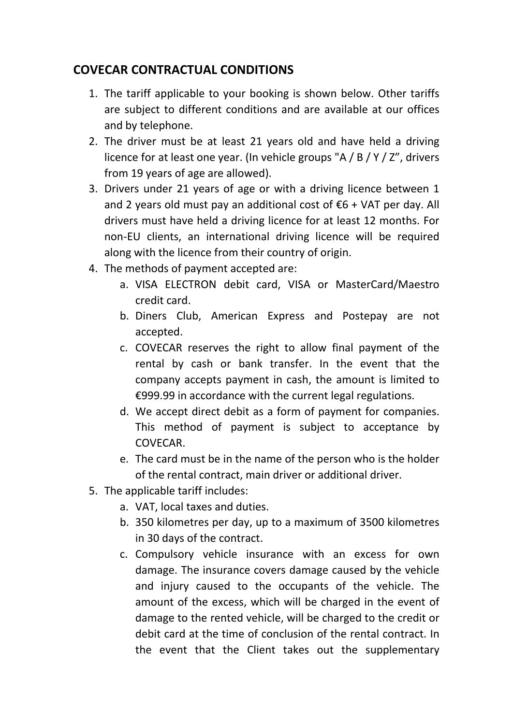## **COVECAR CONTRACTUAL CONDITIONS**

- 1. The tariff applicable to your booking is shown below. Other tariffs are subject to different conditions and are available at our offices and by telephone.
- 2. The driver must be at least 21 years old and have held a driving licence for at least one year. (In vehicle groups "A / B / Y / Z", drivers from 19 years of age are allowed).
- 3. Drivers under 21 years of age or with a driving licence between 1 and 2 years old must pay an additional cost of  $\epsilon$ 6 + VAT per day. All drivers must have held a driving licence for at least 12 months. For non-EU clients, an international driving licence will be required along with the licence from their country of origin.
- 4. The methods of payment accepted are:
	- a. VISA ELECTRON debit card, VISA or MasterCard/Maestro credit card.
	- b. Diners Club, American Express and Postepay are not accepted.
	- c. COVECAR reserves the right to allow final payment of the rental by cash or bank transfer. In the event that the company accepts payment in cash, the amount is limited to €999.99 in accordance with the current legal regulations.
	- d. We accept direct debit as a form of payment for companies. This method of payment is subject to acceptance by COVECAR.
	- e. The card must be in the name of the person who is the holder of the rental contract, main driver or additional driver.
- 5. The applicable tariff includes:
	- a. VAT, local taxes and duties.
	- b. 350 kilometres per day, up to a maximum of 3500 kilometres in 30 days of the contract.
	- c. Compulsory vehicle insurance with an excess for own damage. The insurance covers damage caused by the vehicle and injury caused to the occupants of the vehicle. The amount of the excess, which will be charged in the event of damage to the rented vehicle, will be charged to the credit or debit card at the time of conclusion of the rental contract. In the event that the Client takes out the supplementary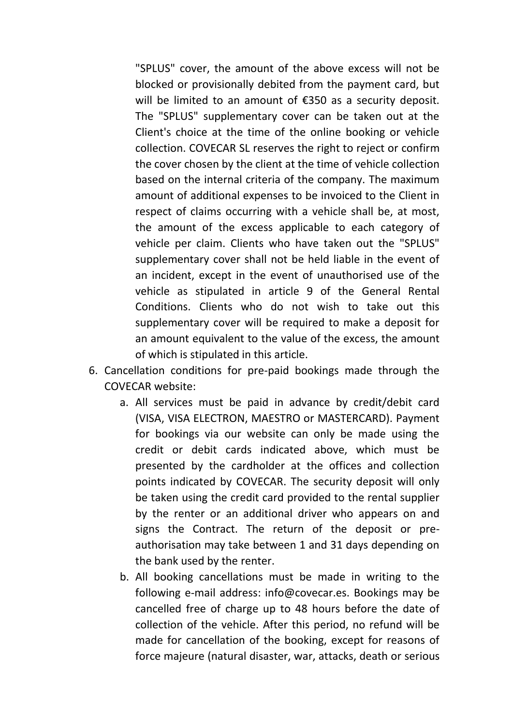"SPLUS" cover, the amount of the above excess will not be blocked or provisionally debited from the payment card, but will be limited to an amount of €350 as a security deposit. The "SPLUS" supplementary cover can be taken out at the Client's choice at the time of the online booking or vehicle collection. COVECAR SL reserves the right to reject or confirm the cover chosen by the client at the time of vehicle collection based on the internal criteria of the company. The maximum amount of additional expenses to be invoiced to the Client in respect of claims occurring with a vehicle shall be, at most, the amount of the excess applicable to each category of vehicle per claim. Clients who have taken out the "SPLUS" supplementary cover shall not be held liable in the event of an incident, except in the event of unauthorised use of the vehicle as stipulated in article 9 of the General Rental Conditions. Clients who do not wish to take out this supplementary cover will be required to make a deposit for an amount equivalent to the value of the excess, the amount of which is stipulated in this article.

- 6. Cancellation conditions for pre-paid bookings made through the COVECAR website:
	- a. All services must be paid in advance by credit/debit card (VISA, VISA ELECTRON, MAESTRO or MASTERCARD). Payment for bookings via our website can only be made using the credit or debit cards indicated above, which must be presented by the cardholder at the offices and collection points indicated by COVECAR. The security deposit will only be taken using the credit card provided to the rental supplier by the renter or an additional driver who appears on and signs the Contract. The return of the deposit or preauthorisation may take between 1 and 31 days depending on the bank used by the renter.
	- b. All booking cancellations must be made in writing to the following e-mail address: info@covecar.es. Bookings may be cancelled free of charge up to 48 hours before the date of collection of the vehicle. After this period, no refund will be made for cancellation of the booking, except for reasons of force majeure (natural disaster, war, attacks, death or serious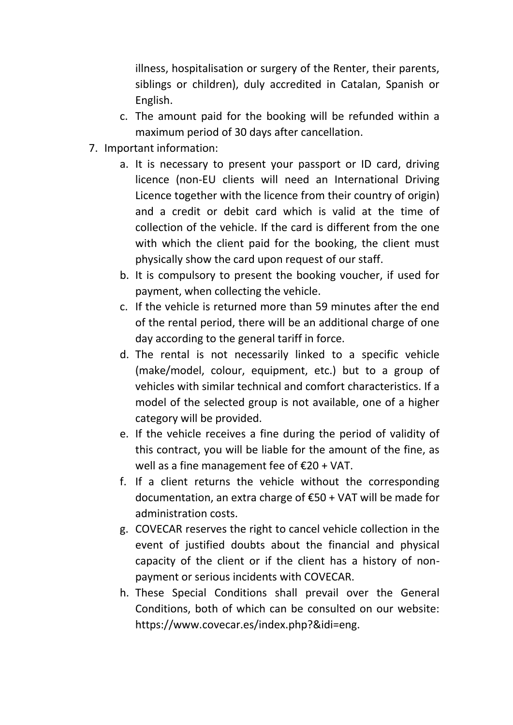illness, hospitalisation or surgery of the Renter, their parents, siblings or children), duly accredited in Catalan, Spanish or English.

- c. The amount paid for the booking will be refunded within a maximum period of 30 days after cancellation.
- 7. Important information:
	- a. It is necessary to present your passport or ID card, driving licence (non-EU clients will need an International Driving Licence together with the licence from their country of origin) and a credit or debit card which is valid at the time of collection of the vehicle. If the card is different from the one with which the client paid for the booking, the client must physically show the card upon request of our staff.
	- b. It is compulsory to present the booking voucher, if used for payment, when collecting the vehicle.
	- c. If the vehicle is returned more than 59 minutes after the end of the rental period, there will be an additional charge of one day according to the general tariff in force.
	- d. The rental is not necessarily linked to a specific vehicle (make/model, colour, equipment, etc.) but to a group of vehicles with similar technical and comfort characteristics. If a model of the selected group is not available, one of a higher category will be provided.
	- e. If the vehicle receives a fine during the period of validity of this contract, you will be liable for the amount of the fine, as well as a fine management fee of €20 + VAT.
	- f. If a client returns the vehicle without the corresponding documentation, an extra charge of €50 + VAT will be made for administration costs.
	- g. COVECAR reserves the right to cancel vehicle collection in the event of justified doubts about the financial and physical capacity of the client or if the client has a history of nonpayment or serious incidents with COVECAR.
	- h. These Special Conditions shall prevail over the General Conditions, both of which can be consulted on our website: https://www.covecar.es/index.php?&idi=eng.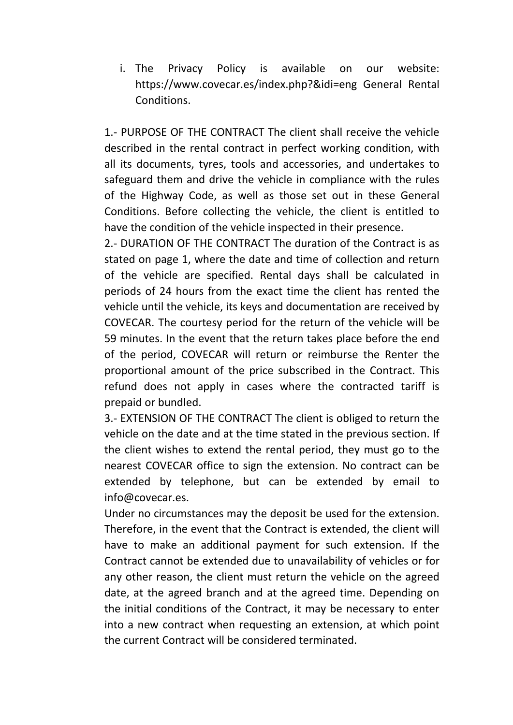i. The Privacy Policy is available on our website: https://www.covecar.es/index.php?&idi=eng General Rental Conditions.

1.- PURPOSE OF THE CONTRACT The client shall receive the vehicle described in the rental contract in perfect working condition, with all its documents, tyres, tools and accessories, and undertakes to safeguard them and drive the vehicle in compliance with the rules of the Highway Code, as well as those set out in these General Conditions. Before collecting the vehicle, the client is entitled to have the condition of the vehicle inspected in their presence.

2.- DURATION OF THE CONTRACT The duration of the Contract is as stated on page 1, where the date and time of collection and return of the vehicle are specified. Rental days shall be calculated in periods of 24 hours from the exact time the client has rented the vehicle until the vehicle, its keys and documentation are received by COVECAR. The courtesy period for the return of the vehicle will be 59 minutes. In the event that the return takes place before the end of the period, COVECAR will return or reimburse the Renter the proportional amount of the price subscribed in the Contract. This refund does not apply in cases where the contracted tariff is prepaid or bundled.

3.- EXTENSION OF THE CONTRACT The client is obliged to return the vehicle on the date and at the time stated in the previous section. If the client wishes to extend the rental period, they must go to the nearest COVECAR office to sign the extension. No contract can be extended by telephone, but can be extended by email to info@covecar.es.

Under no circumstances may the deposit be used for the extension. Therefore, in the event that the Contract is extended, the client will have to make an additional payment for such extension. If the Contract cannot be extended due to unavailability of vehicles or for any other reason, the client must return the vehicle on the agreed date, at the agreed branch and at the agreed time. Depending on the initial conditions of the Contract, it may be necessary to enter into a new contract when requesting an extension, at which point the current Contract will be considered terminated.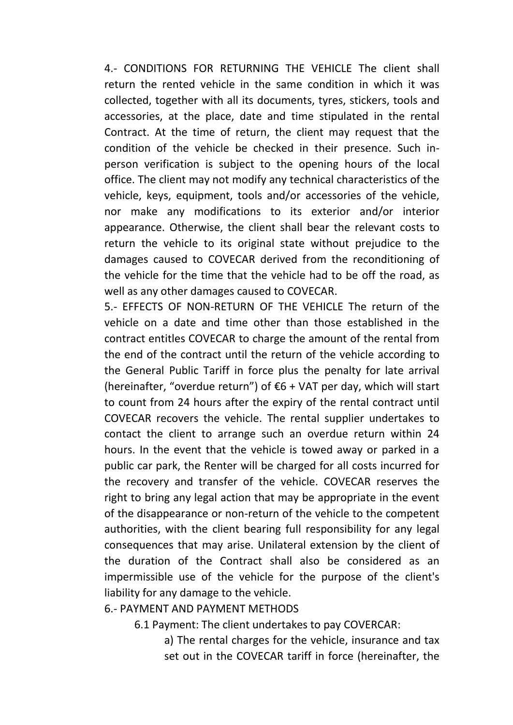4.- CONDITIONS FOR RETURNING THE VEHICLE The client shall return the rented vehicle in the same condition in which it was collected, together with all its documents, tyres, stickers, tools and accessories, at the place, date and time stipulated in the rental Contract. At the time of return, the client may request that the condition of the vehicle be checked in their presence. Such inperson verification is subject to the opening hours of the local office. The client may not modify any technical characteristics of the vehicle, keys, equipment, tools and/or accessories of the vehicle, nor make any modifications to its exterior and/or interior appearance. Otherwise, the client shall bear the relevant costs to return the vehicle to its original state without prejudice to the damages caused to COVECAR derived from the reconditioning of the vehicle for the time that the vehicle had to be off the road, as well as any other damages caused to COVECAR.

5.- EFFECTS OF NON-RETURN OF THE VEHICLE The return of the vehicle on a date and time other than those established in the contract entitles COVECAR to charge the amount of the rental from the end of the contract until the return of the vehicle according to the General Public Tariff in force plus the penalty for late arrival (hereinafter, "overdue return") of  $\epsilon$ 6 + VAT per day, which will start to count from 24 hours after the expiry of the rental contract until COVECAR recovers the vehicle. The rental supplier undertakes to contact the client to arrange such an overdue return within 24 hours. In the event that the vehicle is towed away or parked in a public car park, the Renter will be charged for all costs incurred for the recovery and transfer of the vehicle. COVECAR reserves the right to bring any legal action that may be appropriate in the event of the disappearance or non-return of the vehicle to the competent authorities, with the client bearing full responsibility for any legal consequences that may arise. Unilateral extension by the client of the duration of the Contract shall also be considered as an impermissible use of the vehicle for the purpose of the client's liability for any damage to the vehicle.

6.- PAYMENT AND PAYMENT METHODS

6.1 Payment: The client undertakes to pay COVERCAR:

a) The rental charges for the vehicle, insurance and tax set out in the COVECAR tariff in force (hereinafter, the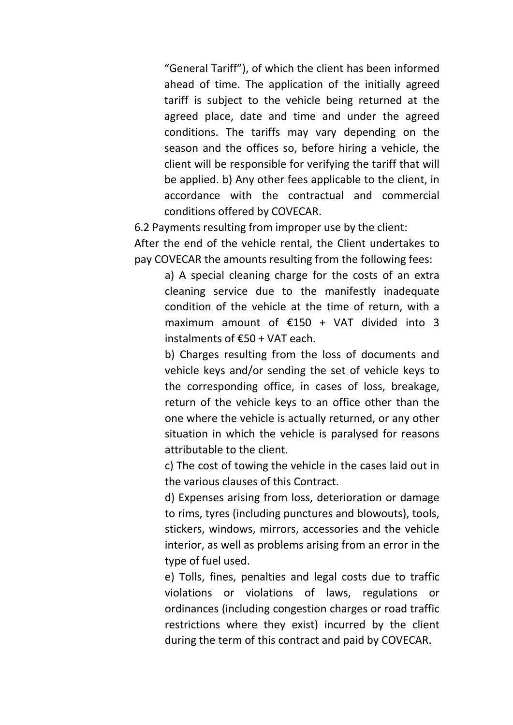"General Tariff"), of which the client has been informed ahead of time. The application of the initially agreed tariff is subject to the vehicle being returned at the agreed place, date and time and under the agreed conditions. The tariffs may vary depending on the season and the offices so, before hiring a vehicle, the client will be responsible for verifying the tariff that will be applied. b) Any other fees applicable to the client, in accordance with the contractual and commercial conditions offered by COVECAR.

6.2 Payments resulting from improper use by the client:

After the end of the vehicle rental, the Client undertakes to pay COVECAR the amounts resulting from the following fees:

a) A special cleaning charge for the costs of an extra cleaning service due to the manifestly inadequate condition of the vehicle at the time of return, with a maximum amount of  $£150 + VAT$  divided into 3 instalments of €50 + VAT each.

b) Charges resulting from the loss of documents and vehicle keys and/or sending the set of vehicle keys to the corresponding office, in cases of loss, breakage, return of the vehicle keys to an office other than the one where the vehicle is actually returned, or any other situation in which the vehicle is paralysed for reasons attributable to the client.

c) The cost of towing the vehicle in the cases laid out in the various clauses of this Contract.

d) Expenses arising from loss, deterioration or damage to rims, tyres (including punctures and blowouts), tools, stickers, windows, mirrors, accessories and the vehicle interior, as well as problems arising from an error in the type of fuel used.

e) Tolls, fines, penalties and legal costs due to traffic violations or violations of laws, regulations or ordinances (including congestion charges or road traffic restrictions where they exist) incurred by the client during the term of this contract and paid by COVECAR.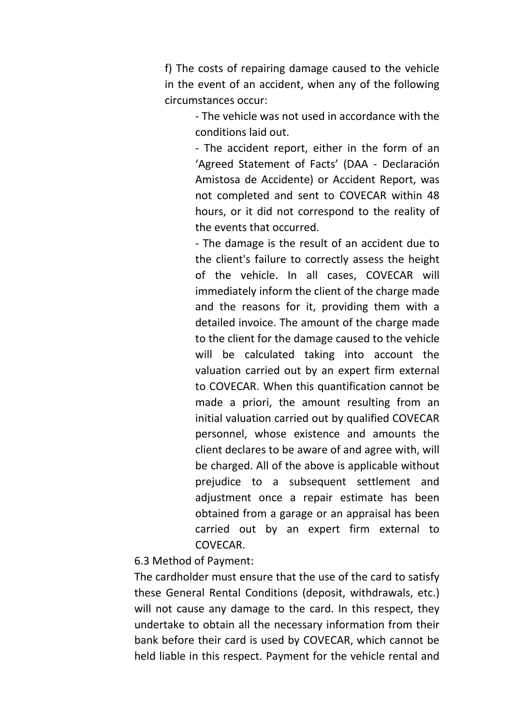f) The costs of repairing damage caused to the vehicle in the event of an accident, when any of the following circumstances occur:

> - The vehicle was not used in accordance with the conditions laid out.

> - The accident report, either in the form of an 'Agreed Statement of Facts' (DAA - Declaración Amistosa de Accidente) or Accident Report, was not completed and sent to COVECAR within 48 hours, or it did not correspond to the reality of the events that occurred.

> - The damage is the result of an accident due to the client's failure to correctly assess the height of the vehicle. In all cases, COVECAR will immediately inform the client of the charge made and the reasons for it, providing them with a detailed invoice. The amount of the charge made to the client for the damage caused to the vehicle will be calculated taking into account the valuation carried out by an expert firm external to COVECAR. When this quantification cannot be made a priori, the amount resulting from an initial valuation carried out by qualified COVECAR personnel, whose existence and amounts the client declares to be aware of and agree with, will be charged. All of the above is applicable without prejudice to a subsequent settlement and adjustment once a repair estimate has been obtained from a garage or an appraisal has been carried out by an expert firm external to **COVECAR.**

6.3 Method of Payment:

The cardholder must ensure that the use of the card to satisfy these General Rental Conditions (deposit, withdrawals, etc.) will not cause any damage to the card. In this respect, they undertake to obtain all the necessary information from their bank before their card is used by COVECAR, which cannot be held liable in this respect. Payment for the vehicle rental and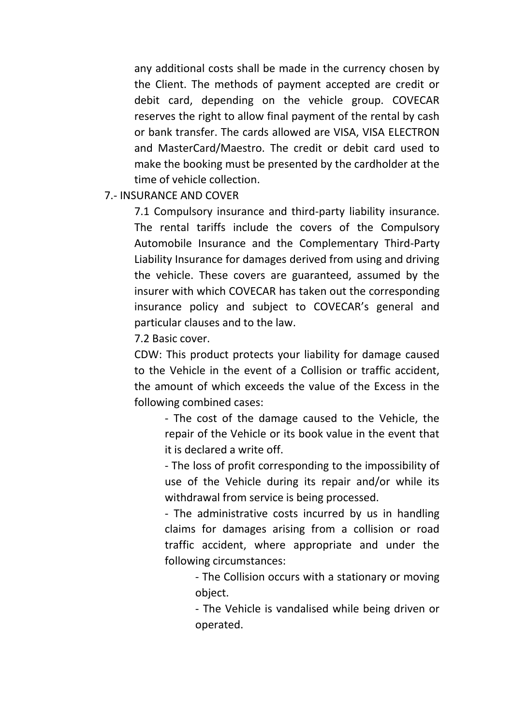any additional costs shall be made in the currency chosen by the Client. The methods of payment accepted are credit or debit card, depending on the vehicle group. COVECAR reserves the right to allow final payment of the rental by cash or bank transfer. The cards allowed are VISA, VISA ELECTRON and MasterCard/Maestro. The credit or debit card used to make the booking must be presented by the cardholder at the time of vehicle collection.

## 7.- INSURANCE AND COVER

7.1 Compulsory insurance and third-party liability insurance. The rental tariffs include the covers of the Compulsory Automobile Insurance and the Complementary Third-Party Liability Insurance for damages derived from using and driving the vehicle. These covers are guaranteed, assumed by the insurer with which COVECAR has taken out the corresponding insurance policy and subject to COVECAR's general and particular clauses and to the law.

7.2 Basic cover.

CDW: This product protects your liability for damage caused to the Vehicle in the event of a Collision or traffic accident, the amount of which exceeds the value of the Excess in the following combined cases:

- The cost of the damage caused to the Vehicle, the repair of the Vehicle or its book value in the event that it is declared a write off.

- The loss of profit corresponding to the impossibility of use of the Vehicle during its repair and/or while its withdrawal from service is being processed.

- The administrative costs incurred by us in handling claims for damages arising from a collision or road traffic accident, where appropriate and under the following circumstances:

> - The Collision occurs with a stationary or moving object.

> - The Vehicle is vandalised while being driven or operated.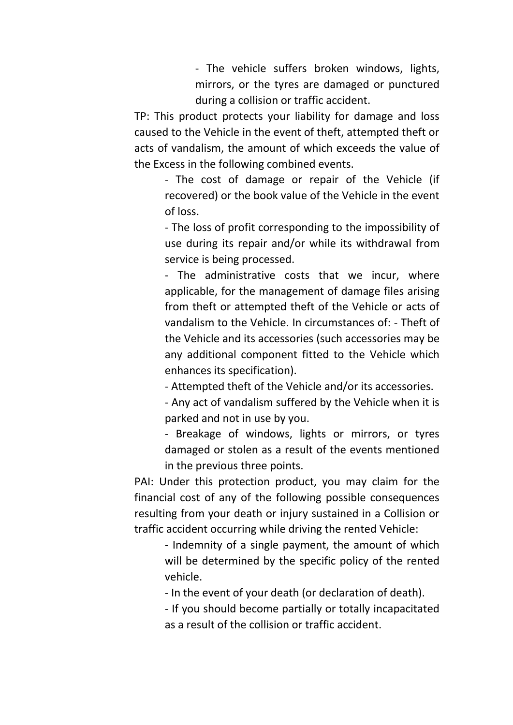- The vehicle suffers broken windows, lights, mirrors, or the tyres are damaged or punctured during a collision or traffic accident.

TP: This product protects your liability for damage and loss caused to the Vehicle in the event of theft, attempted theft or acts of vandalism, the amount of which exceeds the value of the Excess in the following combined events.

- The cost of damage or repair of the Vehicle (if recovered) or the book value of the Vehicle in the event of loss.

- The loss of profit corresponding to the impossibility of use during its repair and/or while its withdrawal from service is being processed.

- The administrative costs that we incur, where applicable, for the management of damage files arising from theft or attempted theft of the Vehicle or acts of vandalism to the Vehicle. In circumstances of: - Theft of the Vehicle and its accessories (such accessories may be any additional component fitted to the Vehicle which enhances its specification).

- Attempted theft of the Vehicle and/or its accessories.

- Any act of vandalism suffered by the Vehicle when it is parked and not in use by you.

- Breakage of windows, lights or mirrors, or tyres damaged or stolen as a result of the events mentioned in the previous three points.

PAI: Under this protection product, you may claim for the financial cost of any of the following possible consequences resulting from your death or injury sustained in a Collision or traffic accident occurring while driving the rented Vehicle:

- Indemnity of a single payment, the amount of which will be determined by the specific policy of the rented vehicle.

- In the event of your death (or declaration of death).

- If you should become partially or totally incapacitated as a result of the collision or traffic accident.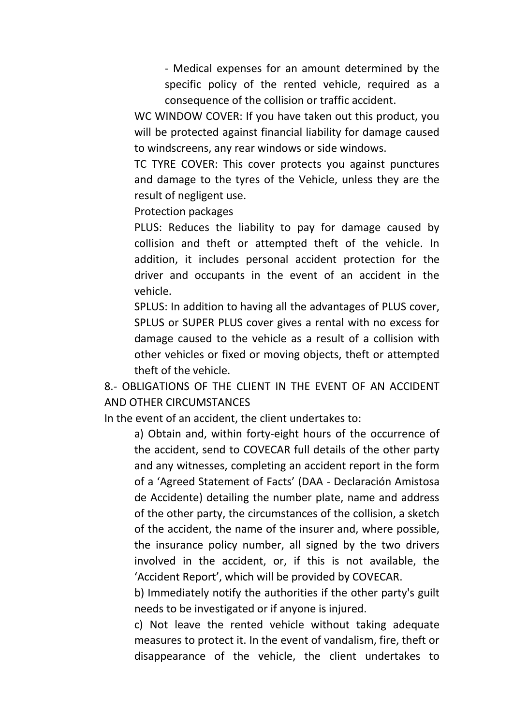- Medical expenses for an amount determined by the specific policy of the rented vehicle, required as a consequence of the collision or traffic accident.

WC WINDOW COVER: If you have taken out this product, you will be protected against financial liability for damage caused to windscreens, any rear windows or side windows.

TC TYRE COVER: This cover protects you against punctures and damage to the tyres of the Vehicle, unless they are the result of negligent use.

Protection packages

PLUS: Reduces the liability to pay for damage caused by collision and theft or attempted theft of the vehicle. In addition, it includes personal accident protection for the driver and occupants in the event of an accident in the vehicle.

SPLUS: In addition to having all the advantages of PLUS cover, SPLUS or SUPER PLUS cover gives a rental with no excess for damage caused to the vehicle as a result of a collision with other vehicles or fixed or moving objects, theft or attempted theft of the vehicle.

8.- OBLIGATIONS OF THE CLIENT IN THE EVENT OF AN ACCIDENT AND OTHER CIRCUMSTANCES

In the event of an accident, the client undertakes to:

a) Obtain and, within forty-eight hours of the occurrence of the accident, send to COVECAR full details of the other party and any witnesses, completing an accident report in the form of a 'Agreed Statement of Facts' (DAA - Declaración Amistosa de Accidente) detailing the number plate, name and address of the other party, the circumstances of the collision, a sketch of the accident, the name of the insurer and, where possible, the insurance policy number, all signed by the two drivers involved in the accident, or, if this is not available, the 'Accident Report', which will be provided by COVECAR.

b) Immediately notify the authorities if the other party's guilt needs to be investigated or if anyone is injured.

c) Not leave the rented vehicle without taking adequate measures to protect it. In the event of vandalism, fire, theft or disappearance of the vehicle, the client undertakes to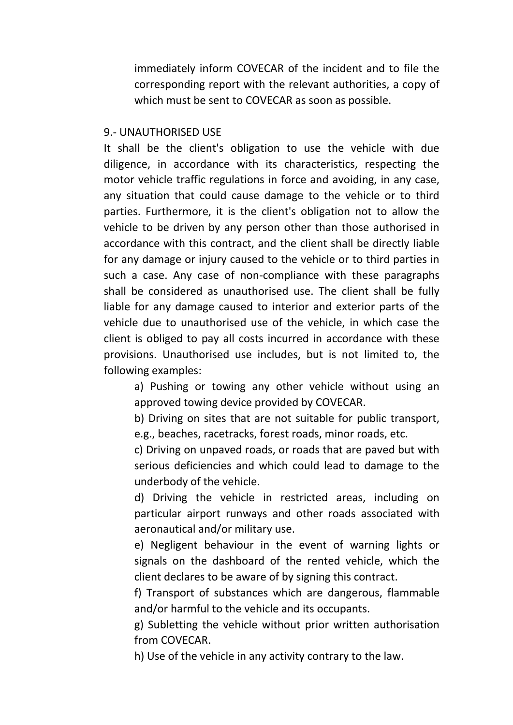immediately inform COVECAR of the incident and to file the corresponding report with the relevant authorities, a copy of which must be sent to COVECAR as soon as possible.

## 9.- UNAUTHORISED USE

It shall be the client's obligation to use the vehicle with due diligence, in accordance with its characteristics, respecting the motor vehicle traffic regulations in force and avoiding, in any case, any situation that could cause damage to the vehicle or to third parties. Furthermore, it is the client's obligation not to allow the vehicle to be driven by any person other than those authorised in accordance with this contract, and the client shall be directly liable for any damage or injury caused to the vehicle or to third parties in such a case. Any case of non-compliance with these paragraphs shall be considered as unauthorised use. The client shall be fully liable for any damage caused to interior and exterior parts of the vehicle due to unauthorised use of the vehicle, in which case the client is obliged to pay all costs incurred in accordance with these provisions. Unauthorised use includes, but is not limited to, the following examples:

a) Pushing or towing any other vehicle without using an approved towing device provided by COVECAR.

b) Driving on sites that are not suitable for public transport, e.g., beaches, racetracks, forest roads, minor roads, etc.

c) Driving on unpaved roads, or roads that are paved but with serious deficiencies and which could lead to damage to the underbody of the vehicle.

d) Driving the vehicle in restricted areas, including on particular airport runways and other roads associated with aeronautical and/or military use.

e) Negligent behaviour in the event of warning lights or signals on the dashboard of the rented vehicle, which the client declares to be aware of by signing this contract.

f) Transport of substances which are dangerous, flammable and/or harmful to the vehicle and its occupants.

g) Subletting the vehicle without prior written authorisation from COVECAR.

h) Use of the vehicle in any activity contrary to the law.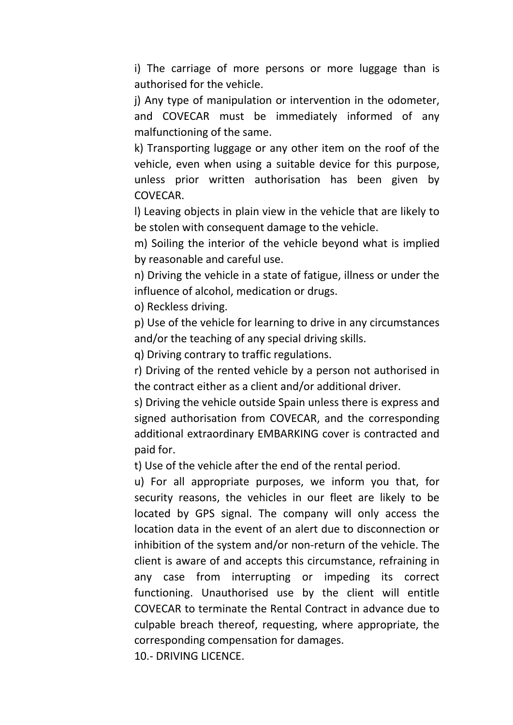i) The carriage of more persons or more luggage than is authorised for the vehicle.

j) Any type of manipulation or intervention in the odometer, and COVECAR must be immediately informed of any malfunctioning of the same.

k) Transporting luggage or any other item on the roof of the vehicle, even when using a suitable device for this purpose, unless prior written authorisation has been given by COVECAR.

l) Leaving objects in plain view in the vehicle that are likely to be stolen with consequent damage to the vehicle.

m) Soiling the interior of the vehicle beyond what is implied by reasonable and careful use.

n) Driving the vehicle in a state of fatigue, illness or under the influence of alcohol, medication or drugs.

o) Reckless driving.

p) Use of the vehicle for learning to drive in any circumstances and/or the teaching of any special driving skills.

q) Driving contrary to traffic regulations.

r) Driving of the rented vehicle by a person not authorised in the contract either as a client and/or additional driver.

s) Driving the vehicle outside Spain unless there is express and signed authorisation from COVECAR, and the corresponding additional extraordinary EMBARKING cover is contracted and paid for.

t) Use of the vehicle after the end of the rental period.

u) For all appropriate purposes, we inform you that, for security reasons, the vehicles in our fleet are likely to be located by GPS signal. The company will only access the location data in the event of an alert due to disconnection or inhibition of the system and/or non-return of the vehicle. The client is aware of and accepts this circumstance, refraining in any case from interrupting or impeding its correct functioning. Unauthorised use by the client will entitle COVECAR to terminate the Rental Contract in advance due to culpable breach thereof, requesting, where appropriate, the corresponding compensation for damages.

10.- DRIVING LICENCE.